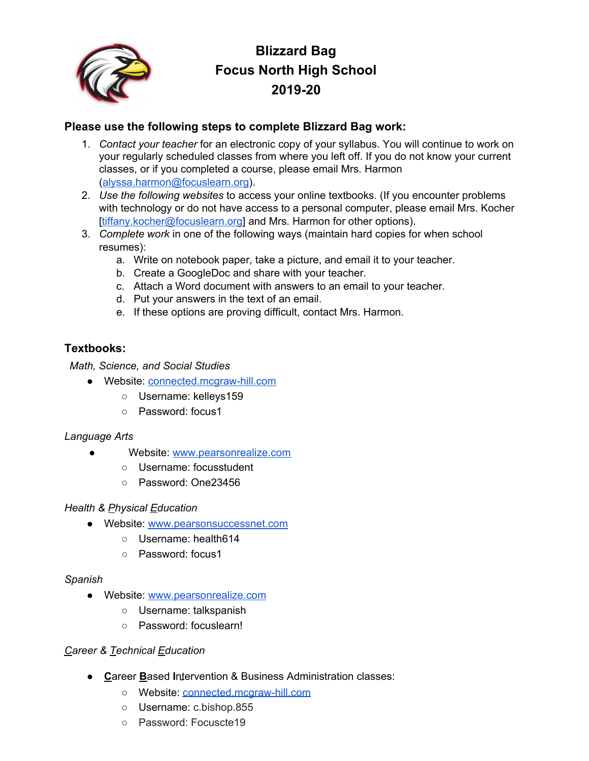

# **Blizzard Bag Focus North High School 2019-20**

# **Please use the following steps to complete Blizzard Bag work:**

- 1. *Contact your teacher* for an electronic copy of your syllabus. You will continue to work on your regularly scheduled classes from where you left off. If you do not know your current classes, or if you completed a course, please email Mrs. Harmon [\(alyssa.harmon@focuslearn.org\)](mailto:alyssa.harmon@focuslearn.org).
- 2. *Use the following websites* to access your online textbooks. (If you encounter problems with technology or do not have access to a personal computer, please email Mrs. Kocher [\[tiffany.kocher@focuslearn.org](mailto:tiffany.kocher@focuslearn.org)] and Mrs. Harmon for other options).
- 3. *Complete work* in one of the following ways (maintain hard copies for when school resumes):
	- a. Write on notebook paper, take a picture, and email it to your teacher.
	- b. Create a GoogleDoc and share with your teacher.
	- c. Attach a Word document with answers to an email to your teacher.
	- d. Put your answers in the text of an email.
	- e. If these options are proving difficult, contact Mrs. Harmon.

# **Textbooks:**

*Math, Science, and Social Studies*

- Website: [connected.mcgraw-hill.com](http://connected.mcgraw-hill.com/)
	- Username: kelleys159
	- Password: focus1

# *Language Arts*

- Website: [www.pearsonrealize.com](http://www.pearsonrealize.com/)
	- Username: focusstudent
	- Password: One23456

#### *Health & Physical Education*

- Website: [www.pearsonsuccessnet.com](http://www.pearsonsuccessnet.com/)
	- Username: health614
	- Password: focus1

# *Spanish*

- Website: [www.pearsonrealize.com](http://www.pearsonrealize.com/)
	- Username: talkspanish
	- Password: focuslearn!

# *Career & Technical Education*

- **C**areer **B**ased **I**ntervention & Business Administration classes:
	- Website: [connected.mcgraw-hill.com](http://connected.mcgraw-hill.com/)
	- Username: c.bishop.855
	- Password: Focuscte19